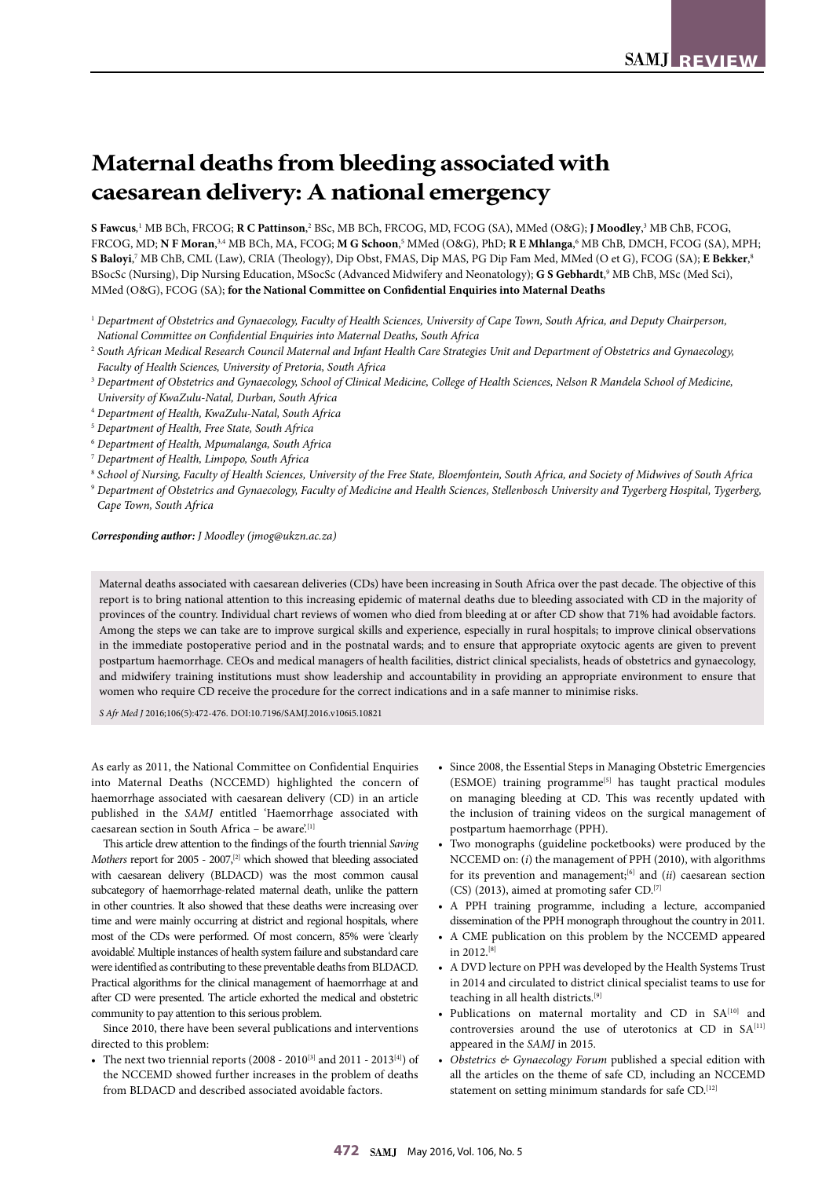# **Maternal deaths from bleeding associated with caesarean delivery: A national emergency**

**S Fawcus***,* <sup>1</sup> MB BCh, FRCOG; **R C Pattinson**, 2 BSc, MB BCh, FRCOG, MD, FCOG (SA), MMed (O&G); **J Moodley**, 3 MB ChB, FCOG, FRCOG, MD; **N F Moran**,<sup>3,4</sup> MB BCh, MA, FCOG; **M G Schoon**,<sup>5</sup> MMed (O&G), PhD; **R E Mhlanga**,6 MB ChB, DMCH, FCOG (SA), MPH; **S Baloyi**, 7 MB ChB, CML (Law), CRIA (Theology), Dip Obst, FMAS, Dip MAS, PG Dip Fam Med, MMed (O et G), FCOG (SA); **E Bekker**, 8 BSocSc (Nursing), Dip Nursing Education, MSocSc (Advanced Midwifery and Neonatology); G S Gebhardt,<sup>9</sup> MB ChB, MSc (Med Sci), MMed (O&G), FCOG (SA); **for the National Committee on Confidential Enquiries into Maternal Deaths**

- <sup>1</sup> *Department of Obstetrics and Gynaecology, Faculty of Health Sciences, University of Cape Town, South Africa, and Deputy Chairperson, National Committee on Confidential Enquiries into Maternal Deaths, South Africa*
- <sup>2</sup> *South African Medical Research Council Maternal and Infant Health Care Strategies Unit and Department of Obstetrics and Gynaecology, Faculty of Health Sciences, University of Pretoria, South Africa*
- <sup>3</sup> *Department of Obstetrics and Gynaecology, School of Clinical Medicine, College of Health Sciences, Nelson R Mandela School of Medicine, University of KwaZulu-Natal, Durban, South Africa*
- <sup>4</sup> *Department of Health, KwaZulu-Natal, South Africa*
- <sup>5</sup> *Department of Health, Free State, South Africa*
- <sup>6</sup> *Department of Health, Mpumalanga, South Africa*
- <sup>7</sup> *Department of Health, Limpopo, South Africa*
- <sup>8</sup> *School of Nursing, Faculty of Health Sciences, University of the Free State, Bloemfontein, South Africa, and Society of Midwives of South Africa*
- <sup>9</sup> *Department of Obstetrics and Gynaecology, Faculty of Medicine and Health Sciences, Stellenbosch University and Tygerberg Hospital, Tygerberg, Cape Town, South Africa*

#### *Corresponding author: J Moodley (jmog@ukzn.ac.za)*

Maternal deaths associated with caesarean deliveries (CDs) have been increasing in South Africa over the past decade. The objective of this report is to bring national attention to this increasing epidemic of maternal deaths due to bleeding associated with CD in the majority of provinces of the country. Individual chart reviews of women who died from bleeding at or after CD show that 71% had avoidable factors. Among the steps we can take are to improve surgical skills and experience, especially in rural hospitals; to improve clinical observations in the immediate postoperative period and in the postnatal wards; and to ensure that appropriate oxytocic agents are given to prevent postpartum haemorrhage. CEOs and medical managers of health facilities, district clinical specialists, heads of obstetrics and gynaecology, and midwifery training institutions must show leadership and accountability in providing an appropriate environment to ensure that women who require CD receive the procedure for the correct indications and in a safe manner to minimise risks.

*S Afr Med J* 2016;106(5):472-476. DOI:10.7196/SAMJ.2016.v106i5.10821

As early as 2011, the National Committee on Confidential Enquiries into Maternal Deaths (NCCEMD) highlighted the concern of haemorrhage associated with caesarean delivery (CD) in an article published in the *SAMJ* entitled 'Haemorrhage associated with caesarean section in South Africa – be aware'.[1]

This article drew attention to the findings of the fourth triennial *Saving Mothers* report for 2005 - 2007,<sup>[2]</sup> which showed that bleeding associated with caesarean delivery (BLDACD) was the most common causal subcategory of haemorrhage-related maternal death, unlike the pattern in other countries. It also showed that these deaths were increasing over time and were mainly occurring at district and regional hospitals, where most of the CDs were performed. Of most concern, 85% were 'clearly avoidable'. Multiple instances of health system failure and substandard care were identified as contributing to these preventable deaths from BLDACD. Practical algorithms for the clinical management of haemorrhage at and after CD were presented. The article exhorted the medical and obstetric community to pay attention to this serious problem.

Since 2010, there have been several publications and interventions directed to this problem:

• The next two triennial reports (2008 - 2010<sup>[3]</sup> and 2011 - 2013<sup>[4]</sup>) of the NCCEMD showed further increases in the problem of deaths from BLDACD and described associated avoidable factors.

- Since 2008, the Essential Steps in Managing Obstetric Emergencies (ESMOE) training programme<sup>[5]</sup> has taught practical modules on managing bleeding at CD. This was recently updated with the inclusion of training videos on the surgical management of postpartum haemorrhage (PPH).
- Two monographs (guideline pocketbooks) were produced by the NCCEMD on: (*i*) the management of PPH (2010), with algorithms for its prevention and management;<sup>[6]</sup> and (*ii*) caesarean section (CS) (2013), aimed at promoting safer CD.[7]
- A PPH training programme, including a lecture, accompanied dissemination of the PPH monograph throughout the country in 2011.
- A CME publication on this problem by the NCCEMD appeared in 2012.[8]
- A DVD lecture on PPH was developed by the Health Systems Trust in 2014 and circulated to district clinical specialist teams to use for teaching in all health districts.[9]
- Publications on maternal mortality and CD in SA[10] and controversies around the use of uterotonics at CD in SA<sup>[11]</sup> appeared in the *SAMJ* in 2015.
- *• Obstetrics & Gynaecology Forum* published a special edition with all the articles on the theme of safe CD, including an NCCEMD statement on setting minimum standards for safe CD.<sup>[12]</sup>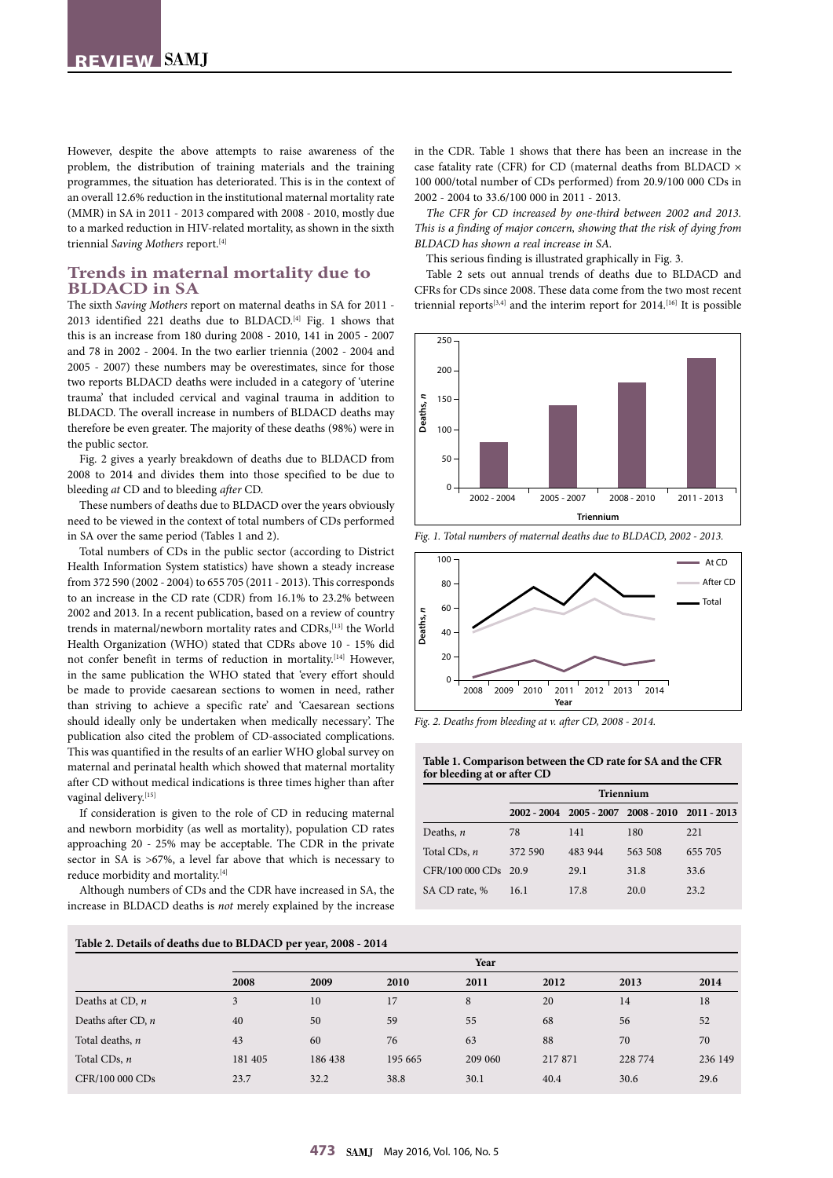However, despite the above attempts to raise awareness of the problem, the distribution of training materials and the training programmes, the situation has deteriorated. This is in the context of an overall 12.6% reduction in the institutional maternal mortality rate (MMR) in SA in 2011 - 2013 compared with 2008 - 2010, mostly due to a marked reduction in HIV-related mortality, as shown in the sixth triennial *Saving Mothers* report.[4]

## **Trends in maternal mortality due to BLDACD in SA**

The sixth *Saving Mothers* report on maternal deaths in SA for 2011 - 2013 identified 221 deaths due to BLDACD.[4] Fig. 1 shows that this is an increase from 180 during 2008 - 2010, 141 in 2005 - 2007 and 78 in 2002 - 2004. In the two earlier triennia (2002 - 2004 and 2005 - 2007) these numbers may be overestimates, since for those two reports BLDACD deaths were included in a category of 'uterine trauma' that included cervical and vaginal trauma in addition to BLDACD. The overall increase in numbers of BLDACD deaths may therefore be even greater. The majority of these deaths (98%) were in the public sector.

Fig. 2 gives a yearly breakdown of deaths due to BLDACD from 2008 to 2014 and divides them into those specified to be due to bleeding *at* CD and to bleeding *after* CD.

These numbers of deaths due to BLDACD over the years obviously need to be viewed in the context of total numbers of CDs performed in SA over the same period (Tables 1 and 2).

Total numbers of CDs in the public sector (according to District Health Information System statistics) have shown a steady increase from 372 590 (2002 - 2004) to 655 705 (2011 - 2013). This corresponds to an increase in the CD rate (CDR) from 16.1% to 23.2% between 2002 and 2013. In a recent publication, based on a review of country trends in maternal/newborn mortality rates and CDRs,<sup>[13]</sup> the World Health Organization (WHO) stated that CDRs above 10 - 15% did not confer benefit in terms of reduction in mortality.[14] However, in the same publication the WHO stated that 'every effort should be made to provide caesarean sections to women in need, rather than striving to achieve a specific rate' and 'Caesarean sections should ideally only be undertaken when medically necessary'. The publication also cited the problem of CD-associated complications. This was quantified in the results of an earlier WHO global survey on maternal and perinatal health which showed that maternal mortality after CD without medical indications is three times higher than after vaginal delivery.[15]

If consideration is given to the role of CD in reducing maternal and newborn morbidity (as well as mortality), population CD rates approaching 20 - 25% may be acceptable. The CDR in the private sector in SA is >67%, a level far above that which is necessary to reduce morbidity and mortality.[4]

Although numbers of CDs and the CDR have increased in SA, the increase in BLDACD deaths is *not* merely explained by the increase

in the CDR. Table 1 shows that there has been an increase in the case fatality rate (CFR) for CD (maternal deaths from BLDACD × 100 000/total number of CDs performed) from 20.9/100 000 CDs in 2002 - 2004 to 33.6/100 000 in 2011 - 2013.

*The CFR for CD increased by one-third between 2002 and 2013. This is a finding of major concern, showing that the risk of dying from BLDACD has shown a real increase in SA.*

This serious finding is illustrated graphically in Fig. 3.

Table 2 sets out annual trends of deaths due to BLDACD and CFRs for CDs since 2008. These data come from the two most recent triennial reports $[3,4]$  and the interim report for 2014.<sup>[16]</sup> It is possible





*Fig. 2. Deaths from bleeding at v. after CD, 2008 - 2014.*

## **Table 1. Comparison between the CD rate for SA and the CFR for bleeding at or after CD**

|                      | Triennium |         |                                                 |         |  |  |  |
|----------------------|-----------|---------|-------------------------------------------------|---------|--|--|--|
|                      |           |         | 2002 - 2004 2005 - 2007 2008 - 2010 2011 - 2013 |         |  |  |  |
| Deaths, $n$          | 78        | 141     | 180                                             | 221     |  |  |  |
| Total CDs, n         | 372 590   | 483 944 | 563 508                                         | 655 705 |  |  |  |
| CFR/100 000 CDs 20.9 |           | 29.1    | 31.8                                            | 33.6    |  |  |  |
| SA CD rate, %        | 16.1      | 17.8    | 20.0                                            | 23.2    |  |  |  |

| Table 2. Details of deaths due to BLDACD per year, 2008 - 2014 |         |         |         |         |        |         |         |  |  |  |
|----------------------------------------------------------------|---------|---------|---------|---------|--------|---------|---------|--|--|--|
|                                                                | Year    |         |         |         |        |         |         |  |  |  |
|                                                                | 2008    | 2009    | 2010    | 2011    | 2012   | 2013    | 2014    |  |  |  |
| Deaths at CD, $n$                                              | 3       | 10      | 17      | 8       | 20     | 14      | 18      |  |  |  |
| Deaths after CD, $n$                                           | 40      | 50      | 59      | 55      | 68     | 56      | 52      |  |  |  |
| Total deaths, n                                                | 43      | 60      | 76      | 63      | 88     | 70      | 70      |  |  |  |
| Total CDs, $n$                                                 | 181 405 | 186 438 | 195 665 | 209 060 | 217871 | 228 774 | 236 149 |  |  |  |
| CFR/100 000 CDs                                                | 23.7    | 32.2    | 38.8    | 30.1    | 40.4   | 30.6    | 29.6    |  |  |  |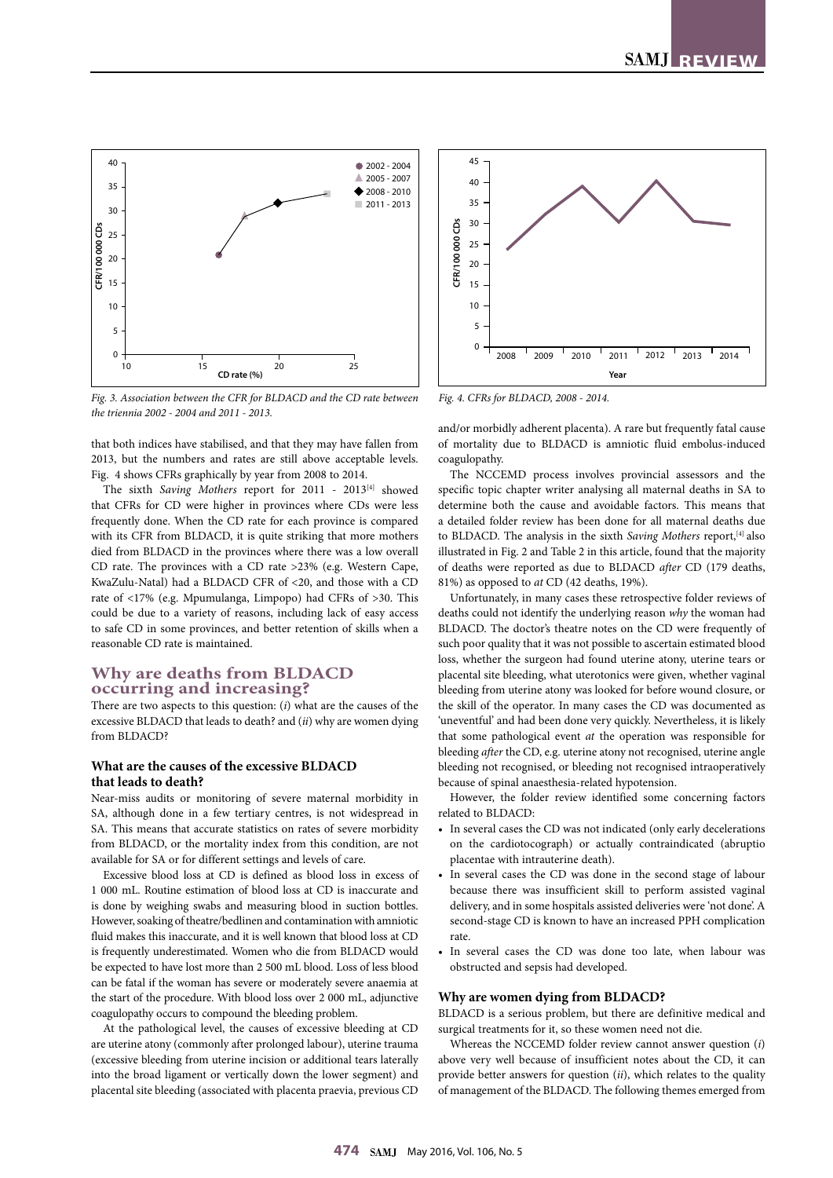

*Fig. 3. Association between the CFR for BLDACD and the CD rate between the triennia 2002 - 2004 and 2011 - 2013.*

that both indices have stabilised, and that they may have fallen from 2013, but the numbers and rates are still above acceptable levels. Fig. 4 shows CFRs graphically by year from 2008 to 2014.

The sixth *Saving Mothers* report for 2011 - 2013<sup>[4]</sup> showed that CFRs for CD were higher in provinces where CDs were less frequently done. When the CD rate for each province is compared with its CFR from BLDACD, it is quite striking that more mothers died from BLDACD in the provinces where there was a low overall CD rate. The provinces with a CD rate >23% (e.g. Western Cape, KwaZulu-Natal) had a BLDACD CFR of <20, and those with a CD rate of <17% (e.g. Mpumulanga, Limpopo) had CFRs of >30. This could be due to a variety of reasons, including lack of easy access to safe CD in some provinces, and better retention of skills when a reasonable CD rate is maintained.

## **Why are deaths from BLDACD occurring and increasing?**

There are two aspects to this question: (*i*) what are the causes of the excessive BLDACD that leads to death? and (*ii*) why are women dying from BLDACD?

## **What are the causes of the excessive BLDACD that leads to death?**

Near-miss audits or monitoring of severe maternal morbidity in SA, although done in a few tertiary centres, is not widespread in SA. This means that accurate statistics on rates of severe morbidity from BLDACD, or the mortality index from this condition, are not available for SA or for different settings and levels of care.

Excessive blood loss at CD is defined as blood loss in excess of 1 000 mL. Routine estimation of blood loss at CD is inaccurate and is done by weighing swabs and measuring blood in suction bottles. However, soaking of theatre/bedlinen and contamination with amniotic fluid makes this inaccurate, and it is well known that blood loss at CD is frequently underestimated. Women who die from BLDACD would be expected to have lost more than 2 500 mL blood. Loss of less blood can be fatal if the woman has severe or moderately severe anaemia at the start of the procedure. With blood loss over 2 000 mL, adjunctive coagulopathy occurs to compound the bleeding problem.

At the pathological level, the causes of excessive bleeding at CD are uterine atony (commonly after prolonged labour), uterine trauma (excessive bleeding from uterine incision or additional tears laterally into the broad ligament or vertically down the lower segment) and placental site bleeding (associated with placenta praevia, previous CD



and/or morbidly adherent placenta). A rare but frequently fatal cause of mortality due to BLDACD is amniotic fluid embolus-induced coagulopathy.

The NCCEMD process involves provincial assessors and the specific topic chapter writer analysing all maternal deaths in SA to determine both the cause and avoidable factors. This means that a detailed folder review has been done for all maternal deaths due to BLDACD. The analysis in the sixth *Saving Mothers* report,<sup>[4]</sup> also illustrated in Fig. 2 and Table 2 in this article, found that the majority of deaths were reported as due to BLDACD *after* CD (179 deaths, 81%) as opposed to *at* CD (42 deaths, 19%).

Unfortunately, in many cases these retrospective folder reviews of deaths could not identify the underlying reason *why* the woman had BLDACD. The doctor's theatre notes on the CD were frequently of such poor quality that it was not possible to ascertain estimated blood loss, whether the surgeon had found uterine atony, uterine tears or placental site bleeding, what uterotonics were given, whether vaginal bleeding from uterine atony was looked for before wound closure, or the skill of the operator. In many cases the CD was documented as 'uneventful' and had been done very quickly. Nevertheless, it is likely that some pathological event *at* the operation was responsible for bleeding *after* the CD, e.g. uterine atony not recognised, uterine angle bleeding not recognised, or bleeding not recognised intraoperatively because of spinal anaesthesia-related hypotension.

However, the folder review identified some concerning factors related to BLDACD:

- In several cases the CD was not indicated (only early decelerations on the cardiotocograph) or actually contraindicated (abruptio placentae with intrauterine death).
- In several cases the CD was done in the second stage of labour because there was insufficient skill to perform assisted vaginal delivery, and in some hospitals assisted deliveries were 'not done'. A second-stage CD is known to have an increased PPH complication rate.
- In several cases the CD was done too late, when labour was obstructed and sepsis had developed.

#### **Why are women dying from BLDACD?**

BLDACD is a serious problem, but there are definitive medical and surgical treatments for it, so these women need not die.

Whereas the NCCEMD folder review cannot answer question (*i*) above very well because of insufficient notes about the CD, it can provide better answers for question (*ii*), which relates to the quality of management of the BLDACD. The following themes emerged from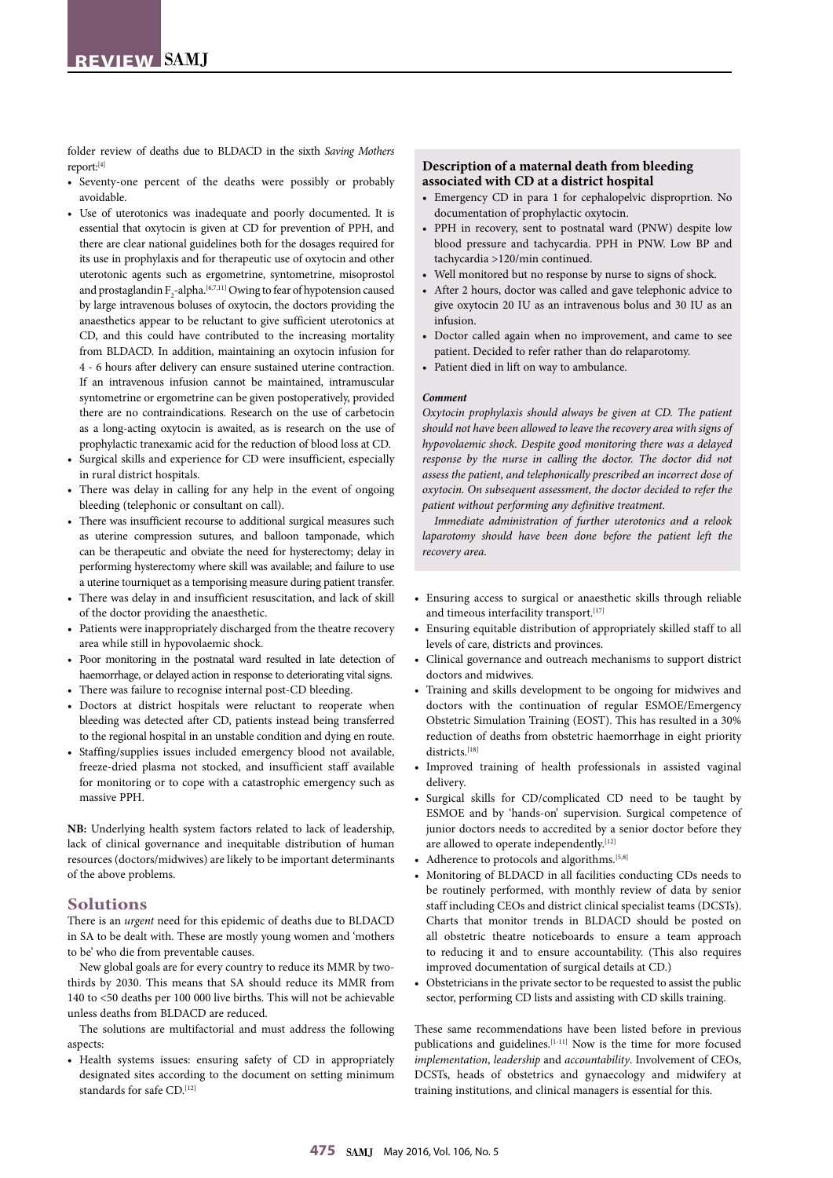folder review of deaths due to BLDACD in the sixth *Saving Mothers* report:[4]

- Seventy-one percent of the deaths were possibly or probably avoidable.
- Use of uterotonics was inadequate and poorly documented. It is essential that oxytocin is given at CD for prevention of PPH, and there are clear national guidelines both for the dosages required for its use in prophylaxis and for therapeutic use of oxytocin and other uterotonic agents such as ergometrine, syntometrine, misoprostol and prostaglandin  $F_2$ -alpha.<sup>[6,7,11]</sup> Owing to fear of hypotension caused by large intravenous boluses of oxytocin, the doctors providing the anaesthetics appear to be reluctant to give sufficient uterotonics at CD, and this could have contributed to the increasing mortality from BLDACD. In addition, maintaining an oxytocin infusion for 4 - 6 hours after delivery can ensure sustained uterine contraction. If an intravenous infusion cannot be maintained, intramuscular syntometrine or ergometrine can be given postoperatively, provided there are no contraindications. Research on the use of carbetocin as a long-acting oxytocin is awaited, as is research on the use of prophylactic tranexamic acid for the reduction of blood loss at CD.
- Surgical skills and experience for CD were insufficient, especially in rural district hospitals.
- There was delay in calling for any help in the event of ongoing bleeding (telephonic or consultant on call).
- There was insufficient recourse to additional surgical measures such as uterine compression sutures, and balloon tamponade, which can be therapeutic and obviate the need for hysterectomy; delay in performing hysterectomy where skill was available; and failure to use a uterine tourniquet as a temporising measure during patient transfer.
- There was delay in and insufficient resuscitation, and lack of skill of the doctor providing the anaesthetic.
- Patients were inappropriately discharged from the theatre recovery area while still in hypovolaemic shock.
- Poor monitoring in the postnatal ward resulted in late detection of haemorrhage, or delayed action in response to deteriorating vital signs.
- There was failure to recognise internal post-CD bleeding.
- Doctors at district hospitals were reluctant to reoperate when bleeding was detected after CD, patients instead being transferred to the regional hospital in an unstable condition and dying en route.
- Staffing/supplies issues included emergency blood not available, freeze-dried plasma not stocked, and insufficient staff available for monitoring or to cope with a catastrophic emergency such as massive PPH.

**NB:** Underlying health system factors related to lack of leadership, lack of clinical governance and inequitable distribution of human resources (doctors/midwives) are likely to be important determinants of the above problems.

## **Solutions**

There is an *urgent* need for this epidemic of deaths due to BLDACD in SA to be dealt with. These are mostly young women and 'mothers to be' who die from preventable causes.

New global goals are for every country to reduce its MMR by twothirds by 2030. This means that SA should reduce its MMR from 140 to <50 deaths per 100 000 live births. This will not be achievable unless deaths from BLDACD are reduced.

The solutions are multifactorial and must address the following aspects:

• Health systems issues: ensuring safety of CD in appropriately designated sites according to the document on setting minimum standards for safe CD.[12]

### **Description of a maternal death from bleeding associated with CD at a district hospital**

- Emergency CD in para 1 for cephalopelvic disproprtion. No documentation of prophylactic oxytocin.
- PPH in recovery, sent to postnatal ward (PNW) despite low blood pressure and tachycardia. PPH in PNW. Low BP and tachycardia >120/min continued.
- Well monitored but no response by nurse to signs of shock.
- After 2 hours, doctor was called and gave telephonic advice to give oxytocin 20 IU as an intravenous bolus and 30 IU as an infusion.
- Doctor called again when no improvement, and came to see patient. Decided to refer rather than do relaparotomy.
- Patient died in lift on way to ambulance.

#### *Comment*

*Oxytocin prophylaxis should always be given at CD. The patient should not have been allowed to leave the recovery area with signs of hypovolaemic shock. Despite good monitoring there was a delayed response by the nurse in calling the doctor. The doctor did not assess the patient, and telephonically prescribed an incorrect dose of oxytocin. On subsequent assessment, the doctor decided to refer the patient without performing any definitive treatment.*

*Immediate administration of further uterotonics and a relook laparotomy should have been done before the patient left the recovery area.*

- Ensuring access to surgical or anaesthetic skills through reliable and timeous interfacility transport.<sup>[17]</sup>
- Ensuring equitable distribution of appropriately skilled staff to all levels of care, districts and provinces.
- Clinical governance and outreach mechanisms to support district doctors and midwives.
- Training and skills development to be ongoing for midwives and doctors with the continuation of regular ESMOE/Emergency Obstetric Simulation Training (EOST). This has resulted in a 30% reduction of deaths from obstetric haemorrhage in eight priority districts.[18]
- Improved training of health professionals in assisted vaginal delivery.
- Surgical skills for CD/complicated CD need to be taught by ESMOE and by 'hands-on' supervision. Surgical competence of junior doctors needs to accredited by a senior doctor before they are allowed to operate independently.<sup>[12]</sup>
- Adherence to protocols and algorithms.<sup>[5,8]</sup>
- Monitoring of BLDACD in all facilities conducting CDs needs to be routinely performed, with monthly review of data by senior staff including CEOs and district clinical specialist teams (DCSTs). Charts that monitor trends in BLDACD should be posted on all obstetric theatre noticeboards to ensure a team approach to reducing it and to ensure accountability. (This also requires improved documentation of surgical details at CD.)
- Obstetricians in the private sector to be requested to assist the public sector, performing CD lists and assisting with CD skills training.

These same recommendations have been listed before in previous publications and guidelines.<sup>[1-11]</sup> Now is the time for more focused *implementation*, *leadership* and *accountability*. Involvement of CEOs, DCSTs, heads of obstetrics and gynaecology and midwifery at training institutions, and clinical managers is essential for this.